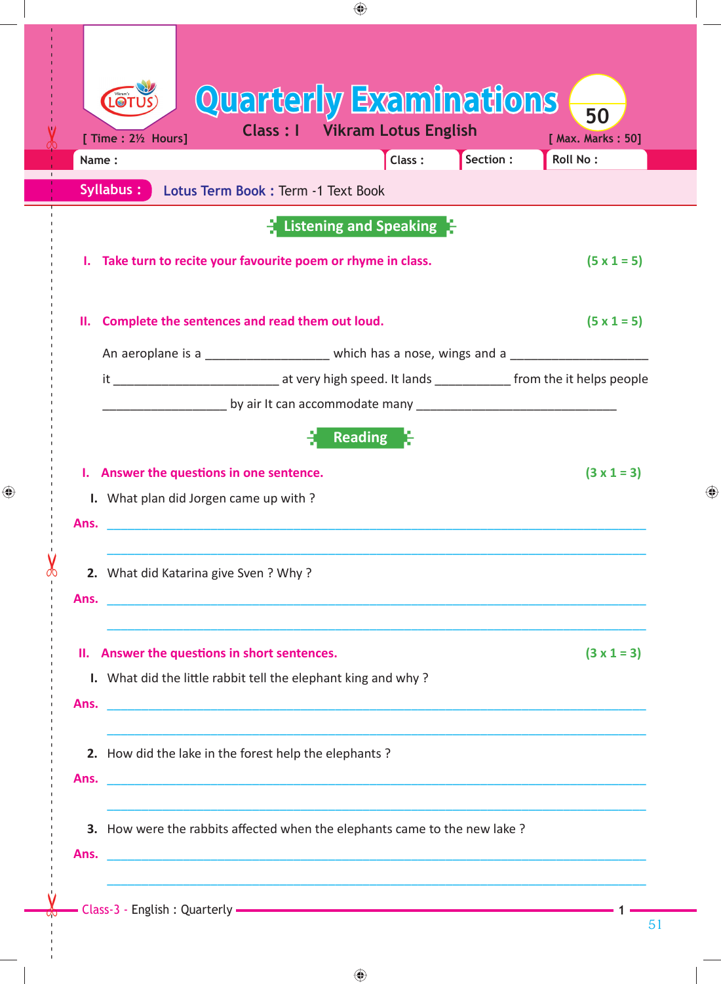| Quarterly Examinations<br>Vikram's<br>50<br><b>Class: I</b><br><b>Vikram Lotus English</b><br>[ Max. Marks: 50]<br>Section :<br>Roll No:<br>Class:<br>Name:<br>Lotus Term Book : Term -1 Text Book<br>Listening and Speaking<br>I. Take turn to recite your favourite poem or rhyme in class.<br>$(5 \times 1 = 5)$<br>II. Complete the sentences and read them out loud.<br>$(5 \times 1 = 5)$<br>An aeroplane is a _______________________ which has a nose, wings and a ____________________________<br><u>__________________</u> by air It can accommodate many __________________________________<br><b>Reading</b><br>I. Answer the questions in one sentence.<br>$(3 \times 1 = 3)$<br>I. What plan did Jorgen came up with?<br>2. What did Katarina give Sven? Why?<br>II. Answer the questions in short sentences.<br>$(3 \times 1 = 3)$<br>I. What did the little rabbit tell the elephant king and why?<br>2. How did the lake in the forest help the elephants?<br>3. How were the rabbits affected when the elephants came to the new lake?<br><u> 1989 - John Stein, Amerikaans en Stein, Stein en Stein en Stein en de Stein en Stein en Stein en Stein en Ste</u> |                  | ⊕ |  |
|-----------------------------------------------------------------------------------------------------------------------------------------------------------------------------------------------------------------------------------------------------------------------------------------------------------------------------------------------------------------------------------------------------------------------------------------------------------------------------------------------------------------------------------------------------------------------------------------------------------------------------------------------------------------------------------------------------------------------------------------------------------------------------------------------------------------------------------------------------------------------------------------------------------------------------------------------------------------------------------------------------------------------------------------------------------------------------------------------------------------------------------------------------------------------------------|------------------|---|--|
|                                                                                                                                                                                                                                                                                                                                                                                                                                                                                                                                                                                                                                                                                                                                                                                                                                                                                                                                                                                                                                                                                                                                                                                   | [Time: 2½ Hours] |   |  |
|                                                                                                                                                                                                                                                                                                                                                                                                                                                                                                                                                                                                                                                                                                                                                                                                                                                                                                                                                                                                                                                                                                                                                                                   | Syllabus:        |   |  |
|                                                                                                                                                                                                                                                                                                                                                                                                                                                                                                                                                                                                                                                                                                                                                                                                                                                                                                                                                                                                                                                                                                                                                                                   |                  |   |  |
|                                                                                                                                                                                                                                                                                                                                                                                                                                                                                                                                                                                                                                                                                                                                                                                                                                                                                                                                                                                                                                                                                                                                                                                   |                  |   |  |
|                                                                                                                                                                                                                                                                                                                                                                                                                                                                                                                                                                                                                                                                                                                                                                                                                                                                                                                                                                                                                                                                                                                                                                                   |                  |   |  |
|                                                                                                                                                                                                                                                                                                                                                                                                                                                                                                                                                                                                                                                                                                                                                                                                                                                                                                                                                                                                                                                                                                                                                                                   |                  |   |  |
|                                                                                                                                                                                                                                                                                                                                                                                                                                                                                                                                                                                                                                                                                                                                                                                                                                                                                                                                                                                                                                                                                                                                                                                   |                  |   |  |
|                                                                                                                                                                                                                                                                                                                                                                                                                                                                                                                                                                                                                                                                                                                                                                                                                                                                                                                                                                                                                                                                                                                                                                                   |                  |   |  |
|                                                                                                                                                                                                                                                                                                                                                                                                                                                                                                                                                                                                                                                                                                                                                                                                                                                                                                                                                                                                                                                                                                                                                                                   |                  |   |  |
|                                                                                                                                                                                                                                                                                                                                                                                                                                                                                                                                                                                                                                                                                                                                                                                                                                                                                                                                                                                                                                                                                                                                                                                   |                  |   |  |
|                                                                                                                                                                                                                                                                                                                                                                                                                                                                                                                                                                                                                                                                                                                                                                                                                                                                                                                                                                                                                                                                                                                                                                                   |                  |   |  |
|                                                                                                                                                                                                                                                                                                                                                                                                                                                                                                                                                                                                                                                                                                                                                                                                                                                                                                                                                                                                                                                                                                                                                                                   | Ans.             |   |  |
|                                                                                                                                                                                                                                                                                                                                                                                                                                                                                                                                                                                                                                                                                                                                                                                                                                                                                                                                                                                                                                                                                                                                                                                   |                  |   |  |
|                                                                                                                                                                                                                                                                                                                                                                                                                                                                                                                                                                                                                                                                                                                                                                                                                                                                                                                                                                                                                                                                                                                                                                                   |                  |   |  |
|                                                                                                                                                                                                                                                                                                                                                                                                                                                                                                                                                                                                                                                                                                                                                                                                                                                                                                                                                                                                                                                                                                                                                                                   |                  |   |  |
|                                                                                                                                                                                                                                                                                                                                                                                                                                                                                                                                                                                                                                                                                                                                                                                                                                                                                                                                                                                                                                                                                                                                                                                   |                  |   |  |
|                                                                                                                                                                                                                                                                                                                                                                                                                                                                                                                                                                                                                                                                                                                                                                                                                                                                                                                                                                                                                                                                                                                                                                                   |                  |   |  |
|                                                                                                                                                                                                                                                                                                                                                                                                                                                                                                                                                                                                                                                                                                                                                                                                                                                                                                                                                                                                                                                                                                                                                                                   |                  |   |  |
|                                                                                                                                                                                                                                                                                                                                                                                                                                                                                                                                                                                                                                                                                                                                                                                                                                                                                                                                                                                                                                                                                                                                                                                   |                  |   |  |
|                                                                                                                                                                                                                                                                                                                                                                                                                                                                                                                                                                                                                                                                                                                                                                                                                                                                                                                                                                                                                                                                                                                                                                                   |                  |   |  |
|                                                                                                                                                                                                                                                                                                                                                                                                                                                                                                                                                                                                                                                                                                                                                                                                                                                                                                                                                                                                                                                                                                                                                                                   |                  |   |  |
|                                                                                                                                                                                                                                                                                                                                                                                                                                                                                                                                                                                                                                                                                                                                                                                                                                                                                                                                                                                                                                                                                                                                                                                   |                  |   |  |
|                                                                                                                                                                                                                                                                                                                                                                                                                                                                                                                                                                                                                                                                                                                                                                                                                                                                                                                                                                                                                                                                                                                                                                                   |                  |   |  |
|                                                                                                                                                                                                                                                                                                                                                                                                                                                                                                                                                                                                                                                                                                                                                                                                                                                                                                                                                                                                                                                                                                                                                                                   |                  |   |  |

 $\bigoplus$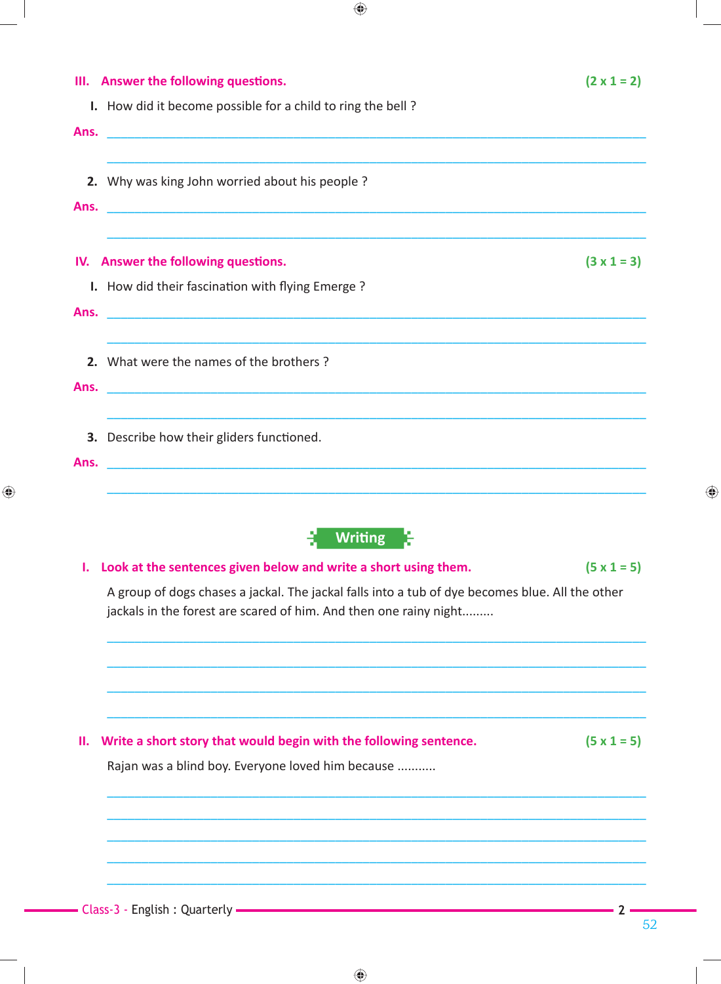| I. How did it become possible for a child to ring the bell?<br>Ans.<br>2. Why was king John worried about his people?<br><u> 2000 - 2000 - 2000 - 2000 - 2000 - 2000 - 2000 - 2000 - 2000 - 2000 - 2000 - 2000 - 2000 - 2000 - 2000 - 200</u><br>Ans.<br>IV. Answer the following questions. |                    |
|----------------------------------------------------------------------------------------------------------------------------------------------------------------------------------------------------------------------------------------------------------------------------------------------|--------------------|
|                                                                                                                                                                                                                                                                                              |                    |
|                                                                                                                                                                                                                                                                                              |                    |
|                                                                                                                                                                                                                                                                                              |                    |
|                                                                                                                                                                                                                                                                                              |                    |
|                                                                                                                                                                                                                                                                                              | $(3 \times 1 = 3)$ |
| I. How did their fascination with flying Emerge?                                                                                                                                                                                                                                             |                    |
| Ans.                                                                                                                                                                                                                                                                                         |                    |
| 2. What were the names of the brothers?                                                                                                                                                                                                                                                      |                    |
| <u> 2000 - 2000 - 2000 - 2000 - 2000 - 2000 - 2000 - 2000 - 2000 - 2000 - 2000 - 2000 - 2000 - 2000 - 2000 - 200</u><br>Ans.                                                                                                                                                                 |                    |
| 3. Describe how their gliders functioned.                                                                                                                                                                                                                                                    |                    |
| Ans.<br><u> 1980 - Jan Barbara, martxa al II-lea (h. 1980).</u><br>1900 - Johann Barbara, martxa al II-lea (h. 1900).                                                                                                                                                                        |                    |
|                                                                                                                                                                                                                                                                                              |                    |
| <b>Writing</b>                                                                                                                                                                                                                                                                               |                    |
| Look at the sentences given below and write a short using them.<br>ı.                                                                                                                                                                                                                        | $(5 \times 1 = 5)$ |
| A group of dogs chases a jackal. The jackal falls into a tub of dye becomes blue. All the other<br>jackals in the forest are scared of him. And then one rainy night                                                                                                                         |                    |
|                                                                                                                                                                                                                                                                                              |                    |
|                                                                                                                                                                                                                                                                                              |                    |
|                                                                                                                                                                                                                                                                                              |                    |

 $\bigoplus$ 

 $\bigoplus$ 

Rajan was a blind boy. Everyone loved him because ..........

 $\bigoplus$ 

 $-2-$ 

◈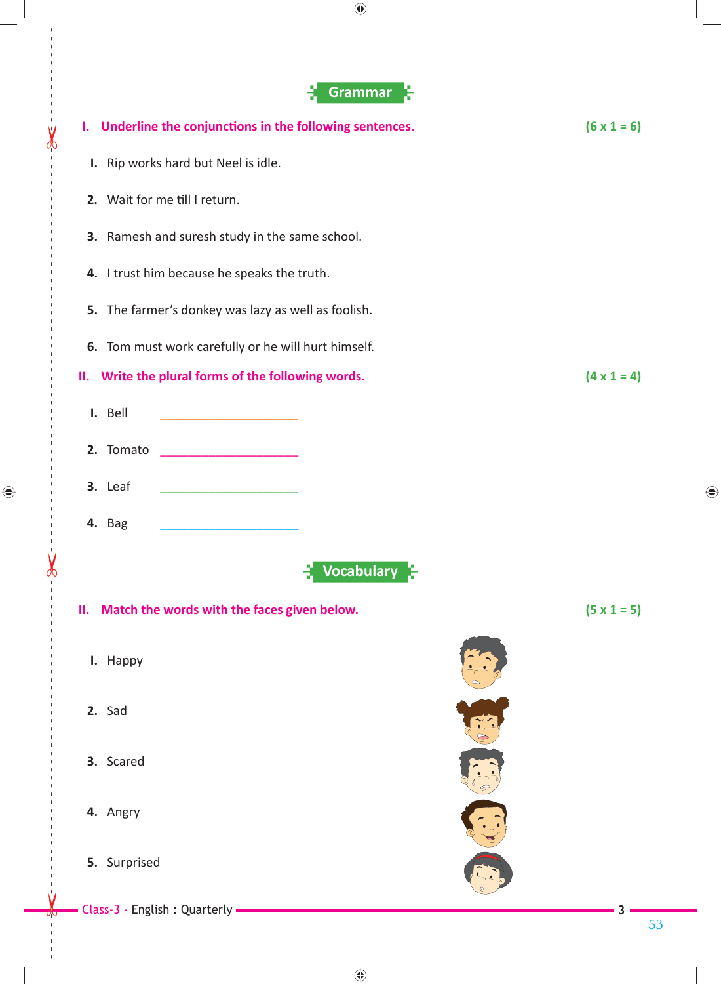

 $\bigoplus$ 

 $\bigoplus$ 

 $\bigoplus$ 

53

♠